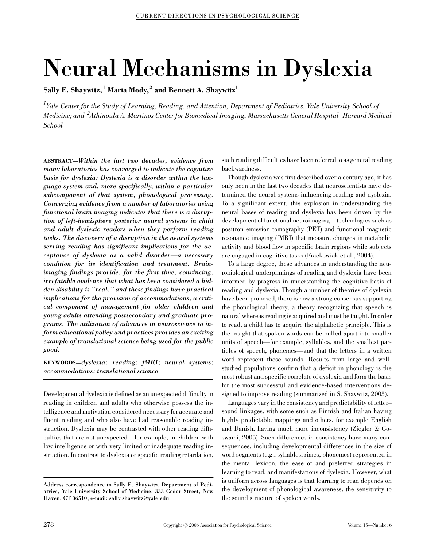# Neural Mechanisms in Dyslexia

Sally E. Shaywitz,<sup>1</sup> Maria Mody,<sup>2</sup> and Bennett A. Shaywitz<sup>1</sup>

 $^I$ Yale Center for the Study of Learning, Reading, and Attention, Department of Pediatrics, Yale University School of Medicine; and  $\,{}^{2}$ Athinoula A. Martinos Center for Biomedical Imaging, Massachusetts General Hospital–Harvard Medical School

ABSTRACT—Within the last two decades, evidence from many laboratories has converged to indicate the cognitive basis for dyslexia: Dyslexia is a disorder within the language system and, more specifically, within a particular subcomponent of that system, phonological processing. Converging evidence from a number of laboratories using functional brain imaging indicates that there is a disruption of left-hemisphere posterior neural systems in child and adult dyslexic readers when they perform reading tasks. The discovery of a disruption in the neural systems serving reading has significant implications for the acceptance of dyslexia as a valid disorder—a necessary condition for its identification and treatment. Brainimaging findings provide, for the first time, convincing, irrefutable evidence that what has been considered a hidden disability is ''real,'' and these findings have practical implications for the provision of accommodations, a critical component of management for older children and young adults attending postsecondary and graduate programs. The utilization of advances in neuroscience to inform educational policy and practices provides an exciting example of translational science being used for the public good.

KEYWORDS—dyslexia; reading; fMRI; neural systems; accommodations; translational science

Developmental dyslexia is defined as an unexpected difficulty in reading in children and adults who otherwise possess the intelligence and motivation considered necessary for accurate and fluent reading and who also have had reasonable reading instruction. Dyslexia may be contrasted with other reading difficulties that are not unexpected—for example, in children with low intelligence or with very limited or inadequate reading instruction. In contrast to dyslexia or specific reading retardation,

such reading difficulties have been referred to as general reading backwardness.

Though dyslexia was first described over a century ago, it has only been in the last two decades that neuroscientists have determined the neural systems influencing reading and dyslexia. To a significant extent, this explosion in understanding the neural bases of reading and dyslexia has been driven by the development of functional neuroimaging—technologies such as positron emission tomography (PET) and functional magnetic resonance imaging (fMRI) that measure changes in metabolic activity and blood flow in specific brain regions while subjects are engaged in cognitive tasks (Frackowiak et al., 2004).

To a large degree, these advances in understanding the neurobiological underpinnings of reading and dyslexia have been informed by progress in understanding the cognitive basis of reading and dyslexia. Though a number of theories of dyslexia have been proposed, there is now a strong consensus supporting the phonological theory, a theory recognizing that speech is natural whereas reading is acquired and must be taught. In order to read, a child has to acquire the alphabetic principle. This is the insight that spoken words can be pulled apart into smaller units of speech—for example, syllables, and the smallest particles of speech, phonemes—and that the letters in a written word represent these sounds. Results from large and wellstudied populations confirm that a deficit in phonology is the most robust and specific correlate of dyslexia and form the basis for the most successful and evidence-based interventions designed to improve reading (summarized in S. Shaywitz, 2003).

Languages vary in the consistency and predictability of letter– sound linkages, with some such as Finnish and Italian having highly predictable mappings and others, for example English and Danish, having much more inconsistency (Ziegler & Goswami, 2005). Such differences in consistency have many consequences, including developmental differences in the size of word segments (e.g., syllables, rimes, phonemes) represented in the mental lexicon, the ease of and preferred strategies in learning to read, and manifestations of dyslexia. However, what is uniform across languages is that learning to read depends on the development of phonological awareness, the sensitivity to the sound structure of spoken words.

Address correspondence to Sally E. Shaywitz, Department of Pediatrics, Yale University School of Medicine, 333 Cedar Street, New Haven, CT 06510; e-mail: sally.shaywitz@yale.edu.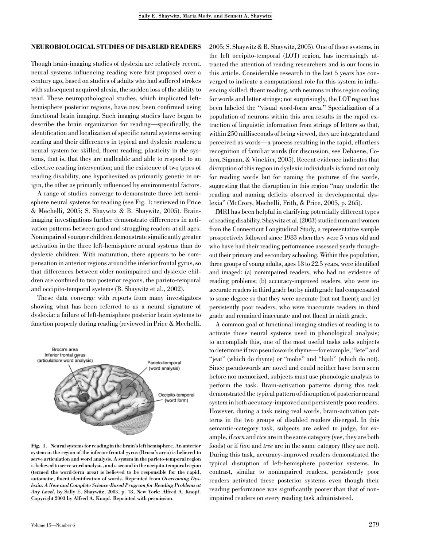### NEUROBIOLOGICAL STUDIES OF DISABLED READERS

Though brain-imaging studies of dyslexia are relatively recent, neural systems influencing reading were first proposed over a century ago, based on studies of adults who had suffered strokes with subsequent acquired alexia, the sudden loss of the ability to read. These neuropathological studies, which implicated lefthemisphere posterior regions, have now been confirmed using functional brain imaging. Such imaging studies have begun to describe the brain organization for reading—specifically, the identification and localization of specific neural systems serving reading and their differences in typical and dyslexic readers; a neural system for skilled, fluent reading; plasticity in the systems, that is, that they are malleable and able to respond to an effective reading intervention; and the existence of two types of reading disability, one hypothesized as primarily genetic in origin, the other as primarily influenced by environmental factors.

A range of studies converge to demonstrate three left-hemisphere neural systems for reading (see Fig. 1; reviewed in Price & Mechelli, 2005; S. Shaywitz & B. Shaywitz, 2005). Brainimaging investigations further demonstrate differences in activation patterns between good and struggling readers at all ages. Nonimpaired younger children demonstrate significantly greater activation in the three left-hemisphere neural systems than do dyslexic children. With maturation, there appears to be compensation in anterior regions around the inferior frontal gyrus, so that differences between older nonimpaired and dyslexic children are confined to two posterior regions, the parieto-temporal and occipito-temporal systems (B. Shaywitz et al., 2002).

These data converge with reports from many investigators showing what has been referred to as a neural signature of dyslexia: a failure of left-hemisphere posterior brain systems to function properly during reading (reviewed in Price & Mechelli,



Fig. 1. Neural systems for reading in the brain's left hemisphere. An anterior system in the region of the inferior frontal gyrus (Broca's area) is believed to serve articulation and word analysis. A system in the parieto-temporal region is believed to serve word analysis, and a second in the occipito-temporal region (termed the word-form area) is believed to be responsible for the rapid, automatic, fluent identification of words. Reprinted from Overcoming Dyslexia: A New and Complete Science-Based Program for Reading Problems at Any Level, by Sally E. Shaywitz, 2003, p. 78, New York: Alfred A. Knopf. Copyright 2003 by Alfred A. Knopf. Reprinted with permission.

2005; S. Shaywitz & B. Shaywitz, 2005). One of these systems, in the left occipito-temporal (LOT) region, has increasingly attracted the attention of reading researchers and is our focus in this article. Considerable research in the last 5 years has converged to indicate a computational role for this system in influencing skilled, fluent reading, with neurons in this region coding for words and letter strings; not surprisingly, the LOT region has been labeled the ''visual word-form area.'' Specialization of a population of neurons within this area results in the rapid extraction of linguistic information from strings of letters so that, within 250 milliseconds of being viewed, they are integrated and perceived as words—a process resulting in the rapid, effortless recognition of familiar words (for discussion, see Dehaene, Cohen, Sigman, & Vinckier, 2005). Recent evidence indicates that disruption of this region in dyslexic individuals is found not only for reading words but for naming the pictures of the words, suggesting that the disruption in this region ''may underlie the reading and naming deficits observed in developmental dyslexia'' (McCrory, Mechelli, Frith, & Price, 2005, p. 265).

fMRI has been helpful in clarifying potentially different types of reading disability. Shaywitz et al. (2003) studied men and women from the Connecticut Longitudinal Study, a representative sample prospectively followed since 1983 when they were 5 years old and who have had their reading performance assessed yearly throughout their primary and secondary schooling. Within this population, three groups of young adults, ages 18 to 22.5 years, were identified and imaged: (a) nonimpaired readers, who had no evidence of reading problems; (b) accuracy-improved readers, who were inaccurate readersinthird grade but by ninth grade had compensated to some degree so that they were accurate (but not fluent); and (c) persistently poor readers, who were inaccurate readers in third grade and remained inaccurate and not fluent in ninth grade.

A common goal of functional imaging studies of reading is to activate those neural systems used in phonological analysis; to accomplish this, one of the most useful tasks asks subjects to determine if two pseudowords rhyme—for example, ''lete'' and "jeat" (which do rhyme) or "mobe" and "haib" (which do not). Since pseudowords are novel and could neither have been seen before nor memorized, subjects must use phonologic analysis to perform the task. Brain-activation patterns during this task demonstrated the typical pattern of disruption of posterior neural system in both accuracy-improved and persistently poor readers. However, during a task using real words, brain-activation patterns in the two groups of disabled readers diverged. In this semantic-category task, subjects are asked to judge, for example, if *corn* and *rice* are in the same category (yes, they are both foods) or if lion and tree are in the same category (they are not). During this task, accuracy-improved readers demonstrated the typical disruption of left-hemisphere posterior systems. In contrast, similar to nonimpaired readers, persistently poor readers activated these posterior systems even though their reading performance was significantly poorer than that of nonimpaired readers on every reading task administered.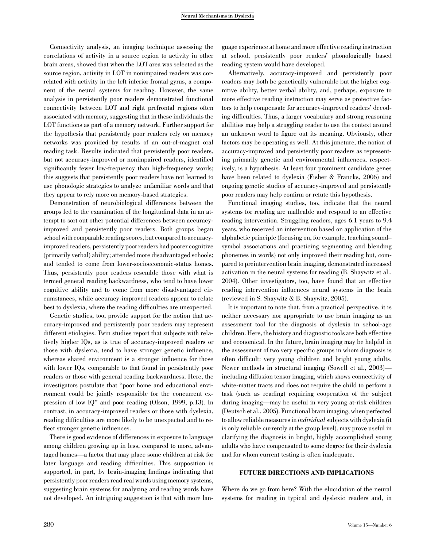#### Neural Mechanisms in Dyslexia

Connectivity analysis, an imaging technique assessing the correlations of activity in a source region to activity in other brain areas, showed that when the LOT area was selected as the source region, activity in LOT in nonimpaired readers was correlated with activity in the left inferior frontal gyrus, a component of the neural systems for reading. However, the same analysis in persistently poor readers demonstrated functional connectivity between LOT and right prefrontal regions often associated with memory, suggesting that in these individuals the LOT functions as part of a memory network. Further support for the hypothesis that persistently poor readers rely on memory networks was provided by results of an out-of-magnet oral reading task. Results indicated that persistently poor readers, but not accuracy-improved or nonimpaired readers, identified significantly fewer low-frequency than high-frequency words; this suggests that persistently poor readers have not learned to use phonologic strategies to analyze unfamiliar words and that they appear to rely more on memory-based strategies.

Demonstration of neurobiological differences between the groups led to the examination of the longitudinal data in an attempt to sort out other potential differences between accuracyimproved and persistently poor readers. Both groups began school with comparable reading scores, but compared to accuracyimproved readers, persistently poor readers had poorer cognitive (primarily verbal) ability; attended more disadvantaged schools; and tended to come from lower-socioeconomic-status homes. Thus, persistently poor readers resemble those with what is termed general reading backwardness, who tend to have lower cognitive ability and to come from more disadvantaged circumstances, while accuracy-improved readers appear to relate best to dyslexia, where the reading difficulties are unexpected.

Genetic studies, too, provide support for the notion that accuracy-improved and persistently poor readers may represent different etiologies. Twin studies report that subjects with relatively higher IQs, as is true of accuracy-improved readers or those with dyslexia, tend to have stronger genetic influence, whereas shared environment is a stronger influence for those with lower IQs, comparable to that found in persistently poor readers or those with general reading backwardness. Here, the investigators postulate that ''poor home and educational environment could be jointly responsible for the concurrent expression of low IQ'' and poor reading (Olson, 1999, p.13). In contrast, in accuracy-improved readers or those with dyslexia, reading difficulties are more likely to be unexpected and to reflect stronger genetic influences.

There is good evidence of differences in exposure to language among children growing up in less, compared to more, advantaged homes—a factor that may place some children at risk for later language and reading difficulties. This supposition is supported, in part, by brain-imaging findings indicating that persistently poor readers read real words using memory systems, suggesting brain systems for analyzing and reading words have not developed. An intriguing suggestion is that with more lan-

guage experience at home and more effective reading instruction at school, persistently poor readers' phonologically based reading system would have developed.

Alternatively, accuracy-improved and persistently poor readers may both be genetically vulnerable but the higher cognitive ability, better verbal ability, and, perhaps, exposure to more effective reading instruction may serve as protective factors to help compensate for accuracy-improved readers' decoding difficulties. Thus, a larger vocabulary and strong reasoning abilities may help a struggling reader to use the context around an unknown word to figure out its meaning. Obviously, other factors may be operating as well. At this juncture, the notion of accuracy-improved and persistently poor readers as representing primarily genetic and environmental influences, respectively, is a hypothesis. At least four prominent candidate genes have been related to dyslexia (Fisher & Francks, 2006) and ongoing genetic studies of accuracy-improved and persistently poor readers may help confirm or refute this hypothesis.

Functional imaging studies, too, indicate that the neural systems for reading are malleable and respond to an effective reading intervention. Struggling readers, ages 6.1 years to 9.4 years, who received an intervention based on application of the alphabetic principle (focusing on, for example, teaching sound– symbol associations and practicing segmenting and blending phonemes in words) not only improved their reading but, compared to preintervention brain imaging, demonstrated increased activation in the neural systems for reading (B. Shaywitz et al., 2004). Other investigators, too, have found that an effective reading intervention influences neural systems in the brain (reviewed in S. Shaywitz & B. Shaywitz, 2005).

It is important to note that, from a practical perspective, it is neither necessary nor appropriate to use brain imaging as an assessment tool for the diagnosis of dyslexia in school-age children. Here, the history and diagnostic tools are both effective and economical. In the future, brain imaging may be helpful in the assessment of two very specific groups in whom diagnosis is often difficult: very young children and bright young adults. Newer methods in structural imaging (Sowell et al., 2003) including diffusion tensor imaging, which shows connectivity of white-matter tracts and does not require the child to perform a task (such as reading) requiring cooperation of the subject during imaging—may be useful in very young at-risk children (Deutsch et al., 2005). Functional brain imaging, when perfected to allow reliable measures in *individual* subjects with dyslexia (it is only reliable currently at the group level), may prove useful in clarifying the diagnosis in bright, highly accomplished young adults who have compensated to some degree for their dyslexia and for whom current testing is often inadequate.

## FUTURE DIRECTIONS AND IMPLICATIONS

Where do we go from here? With the elucidation of the neural systems for reading in typical and dyslexic readers and, in